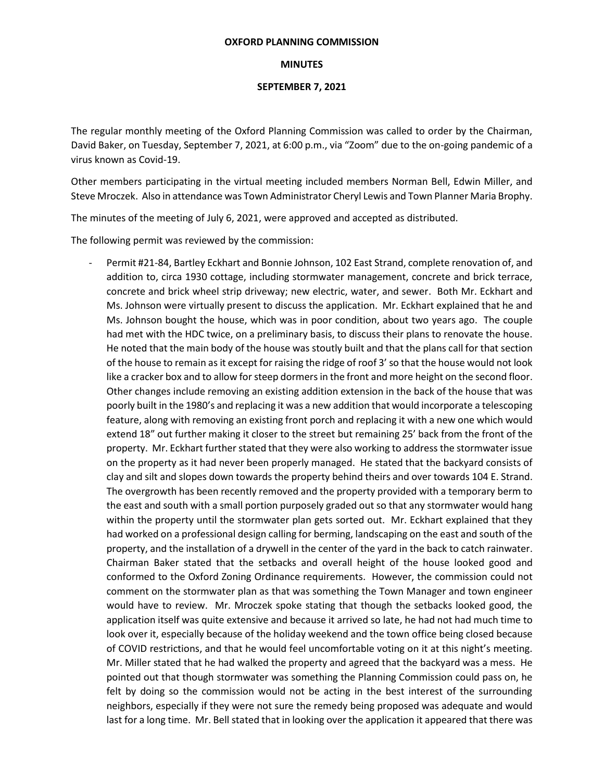## **OXFORD PLANNING COMMISSION**

## **MINUTES**

## **SEPTEMBER 7, 2021**

The regular monthly meeting of the Oxford Planning Commission was called to order by the Chairman, David Baker, on Tuesday, September 7, 2021, at 6:00 p.m., via "Zoom" due to the on-going pandemic of a virus known as Covid-19.

Other members participating in the virtual meeting included members Norman Bell, Edwin Miller, and Steve Mroczek. Also in attendance was Town Administrator Cheryl Lewis and Town Planner Maria Brophy.

The minutes of the meeting of July 6, 2021, were approved and accepted as distributed.

The following permit was reviewed by the commission:

Permit #21-84, Bartley Eckhart and Bonnie Johnson, 102 East Strand, complete renovation of, and addition to, circa 1930 cottage, including stormwater management, concrete and brick terrace, concrete and brick wheel strip driveway; new electric, water, and sewer. Both Mr. Eckhart and Ms. Johnson were virtually present to discuss the application. Mr. Eckhart explained that he and Ms. Johnson bought the house, which was in poor condition, about two years ago. The couple had met with the HDC twice, on a preliminary basis, to discuss their plans to renovate the house. He noted that the main body of the house was stoutly built and that the plans call for that section of the house to remain as it except for raising the ridge of roof 3' so that the house would not look like a cracker box and to allow for steep dormers in the front and more height on the second floor. Other changes include removing an existing addition extension in the back of the house that was poorly built in the 1980's and replacing it was a new addition that would incorporate a telescoping feature, along with removing an existing front porch and replacing it with a new one which would extend 18" out further making it closer to the street but remaining 25' back from the front of the property. Mr. Eckhart further stated that they were also working to address the stormwater issue on the property as it had never been properly managed. He stated that the backyard consists of clay and silt and slopes down towards the property behind theirs and over towards 104 E. Strand. The overgrowth has been recently removed and the property provided with a temporary berm to the east and south with a small portion purposely graded out so that any stormwater would hang within the property until the stormwater plan gets sorted out. Mr. Eckhart explained that they had worked on a professional design calling for berming, landscaping on the east and south of the property, and the installation of a drywell in the center of the yard in the back to catch rainwater. Chairman Baker stated that the setbacks and overall height of the house looked good and conformed to the Oxford Zoning Ordinance requirements. However, the commission could not comment on the stormwater plan as that was something the Town Manager and town engineer would have to review. Mr. Mroczek spoke stating that though the setbacks looked good, the application itself was quite extensive and because it arrived so late, he had not had much time to look over it, especially because of the holiday weekend and the town office being closed because of COVID restrictions, and that he would feel uncomfortable voting on it at this night's meeting. Mr. Miller stated that he had walked the property and agreed that the backyard was a mess. He pointed out that though stormwater was something the Planning Commission could pass on, he felt by doing so the commission would not be acting in the best interest of the surrounding neighbors, especially if they were not sure the remedy being proposed was adequate and would last for a long time. Mr. Bell stated that in looking over the application it appeared that there was